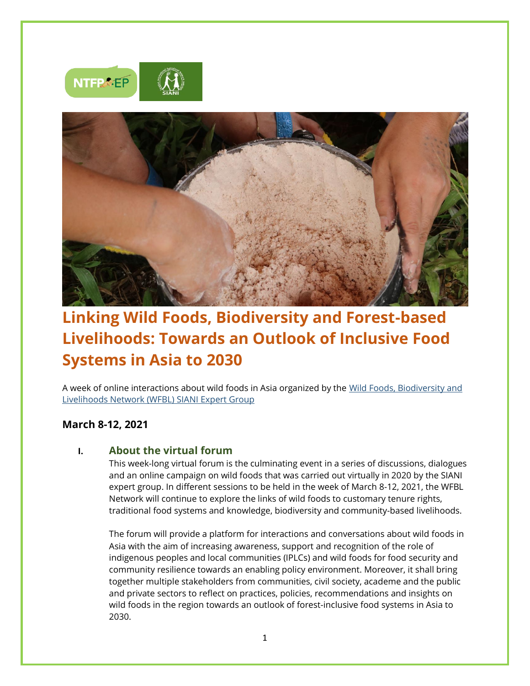



# **Linking Wild Foods, Biodiversity and Forest-based Livelihoods: Towards an Outlook of Inclusive Food Systems in Asia to 2030**

A week of online interactions about wild foods in Asia organized by the [Wild Foods, Biodiversity and](https://www.siani.se/expert-groups/wild-foods-biodiversity-and-livelihood/)  [Livelihoods Network \(WFBL\) SIANI Expert Group](https://www.siani.se/expert-groups/wild-foods-biodiversity-and-livelihood/)

### **March 8-12, 2021**

### **I. About the virtual forum**

This week-long virtual forum is the culminating event in a series of discussions, dialogues and an online campaign on wild foods that was carried out virtually in 2020 by the SIANI expert group. In different sessions to be held in the week of March 8-12, 2021, the WFBL Network will continue to explore the links of wild foods to customary tenure rights, traditional food systems and knowledge, biodiversity and community-based livelihoods.

The forum will provide a platform for interactions and conversations about wild foods in Asia with the aim of increasing awareness, support and recognition of the role of indigenous peoples and local communities (IPLCs) and wild foods for food security and community resilience towards an enabling policy environment. Moreover, it shall bring together multiple stakeholders from communities, civil society, academe and the public and private sectors to reflect on practices, policies, recommendations and insights on wild foods in the region towards an outlook of forest-inclusive food systems in Asia to 2030.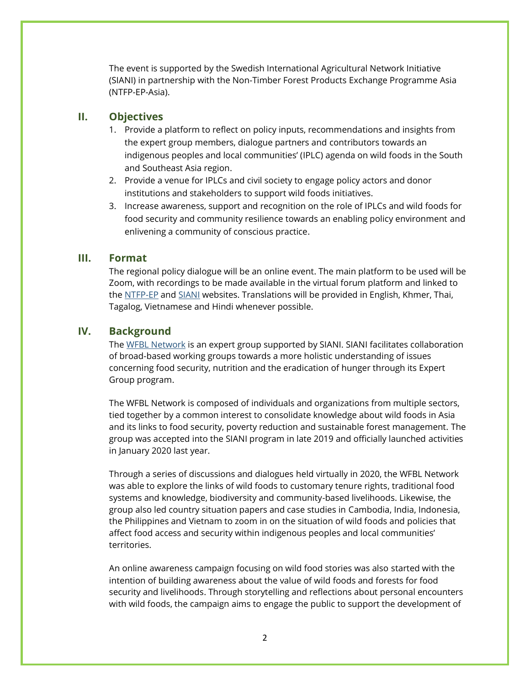The event is supported by the Swedish International Agricultural Network Initiative (SIANI) in partnership with the Non-Timber Forest Products Exchange Programme Asia (NTFP-EP-Asia).

#### **II. Objectives**

- 1. Provide a platform to reflect on policy inputs, recommendations and insights from the expert group members, dialogue partners and contributors towards an indigenous peoples and local communities' (IPLC) agenda on wild foods in the South and Southeast Asia region.
- 2. Provide a venue for IPLCs and civil society to engage policy actors and donor institutions and stakeholders to support wild foods initiatives.
- 3. Increase awareness, support and recognition on the role of IPLCs and wild foods for food security and community resilience towards an enabling policy environment and enlivening a community of conscious practice.

#### **III. Format**

The regional policy dialogue will be an online event. The main platform to be used will be Zoom, with recordings to be made available in the virtual forum platform and linked to the [NTFP-EP](http://www.ntfp.org/) and [SIANI](http://www.siani.se/) websites. Translations will be provided in English, Khmer, Thai, Tagalog, Vietnamese and Hindi whenever possible.

#### **IV. Background**

The [WFBL Network](https://www.siani.se/expert-groups/wild-foods-biodiversity-and-livelihood/) is an expert group supported by SIANI. SIANI facilitates collaboration of broad-based working groups towards a more holistic understanding of issues concerning food security, nutrition and the eradication of hunger through its Expert Group program.

The WFBL Network is composed of individuals and organizations from multiple sectors, tied together by a common interest to consolidate knowledge about wild foods in Asia and its links to food security, poverty reduction and sustainable forest management. The group was accepted into the SIANI program in late 2019 and officially launched activities in January 2020 last year.

Through a series of discussions and dialogues held virtually in 2020, the WFBL Network was able to explore the links of wild foods to customary tenure rights, traditional food systems and knowledge, biodiversity and community-based livelihoods. Likewise, the group also led country situation papers and case studies in Cambodia, India, Indonesia, the Philippines and Vietnam to zoom in on the situation of wild foods and policies that affect food access and security within indigenous peoples and local communities' territories.

An online awareness campaign focusing on wild food stories was also started with the intention of building awareness about the value of wild foods and forests for food security and livelihoods. Through storytelling and reflections about personal encounters with wild foods, the campaign aims to engage the public to support the development of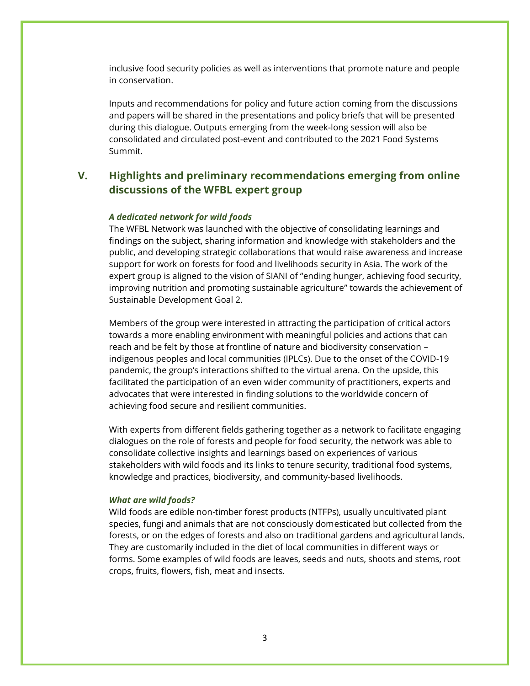inclusive food security policies as well as interventions that promote nature and people in conservation.

Inputs and recommendations for policy and future action coming from the discussions and papers will be shared in the presentations and policy briefs that will be presented during this dialogue. Outputs emerging from the week-long session will also be consolidated and circulated post-event and contributed to the 2021 Food Systems Summit.

### **V. Highlights and preliminary recommendations emerging from online discussions of the WFBL expert group**

#### *A dedicated network for wild foods*

The WFBL Network was launched with the objective of consolidating learnings and findings on the subject, sharing information and knowledge with stakeholders and the public, and developing strategic collaborations that would raise awareness and increase support for work on forests for food and livelihoods security in Asia. The work of the expert group is aligned to the vision of SIANI of "ending hunger, achieving food security, improving nutrition and promoting sustainable agriculture" towards the achievement of Sustainable Development Goal 2.

Members of the group were interested in attracting the participation of critical actors towards a more enabling environment with meaningful policies and actions that can reach and be felt by those at frontline of nature and biodiversity conservation – indigenous peoples and local communities (IPLCs). Due to the onset of the COVID-19 pandemic, the group's interactions shifted to the virtual arena. On the upside, this facilitated the participation of an even wider community of practitioners, experts and advocates that were interested in finding solutions to the worldwide concern of achieving food secure and resilient communities.

With experts from different fields gathering together as a network to facilitate engaging dialogues on the role of forests and people for food security, the network was able to consolidate collective insights and learnings based on experiences of various stakeholders with wild foods and its links to tenure security, traditional food systems, knowledge and practices, biodiversity, and community-based livelihoods.

#### *What are wild foods?*

Wild foods are edible non-timber forest products (NTFPs), usually uncultivated plant species, fungi and animals that are not consciously domesticated but collected from the forests, or on the edges of forests and also on traditional gardens and agricultural lands. They are customarily included in the diet of local communities in different ways or forms. Some examples of wild foods are leaves, seeds and nuts, shoots and stems, root crops, fruits, flowers, fish, meat and insects.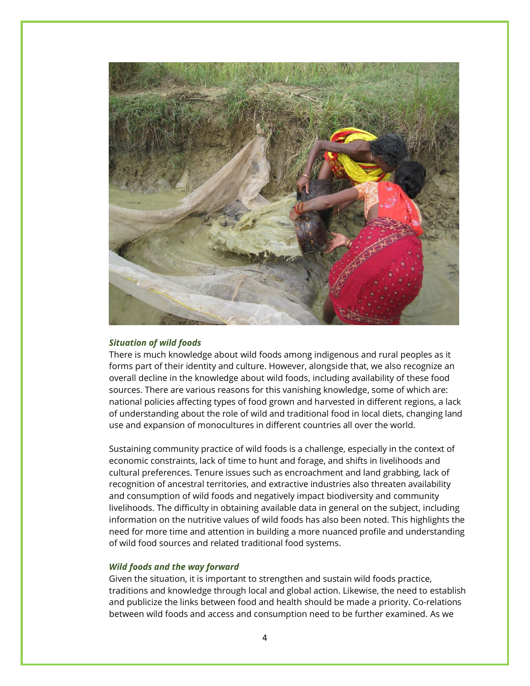

#### *Situation of wild foods*

There is much knowledge about wild foods among indigenous and rural peoples as it forms part of their identity and culture. However, alongside that, we also recognize an overall decline in the knowledge about wild foods, including availability of these food sources. There are various reasons for this vanishing knowledge, some of which are: national policies affecting types of food grown and harvested in different regions, a lack of understanding about the role of wild and traditional food in local diets, changing land use and expansion of monocultures in different countries all over the world.

Sustaining community practice of wild foods is a challenge, especially in the context of economic constraints, lack of time to hunt and forage, and shifts in livelihoods and cultural preferences. Tenure issues such as encroachment and land grabbing, lack of recognition of ancestral territories, and extractive industries also threaten availability and consumption of wild foods and negatively impact biodiversity and community livelihoods. The difficulty in obtaining available data in general on the subject, including information on the nutritive values of wild foods has also been noted. This highlights the need for more time and attention in building a more nuanced profile and understanding of wild food sources and related traditional food systems.

#### *Wild foods and the way forward*

Given the situation, it is important to strengthen and sustain wild foods practice, traditions and knowledge through local and global action. Likewise, the need to establish and publicize the links between food and health should be made a priority. Co-relations between wild foods and access and consumption need to be further examined. As we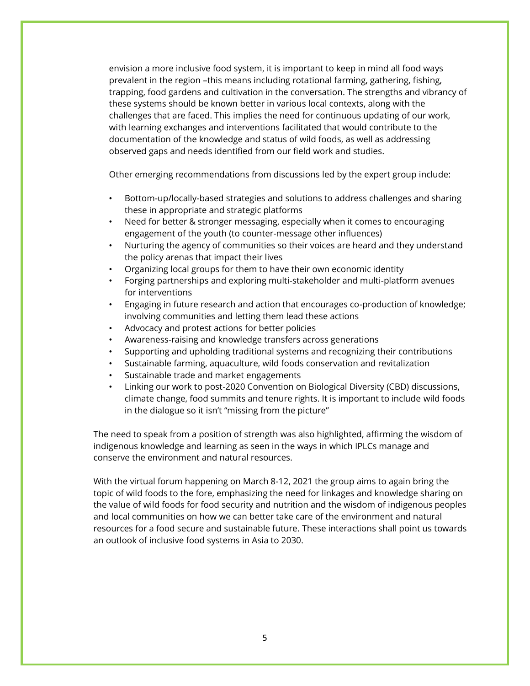envision a more inclusive food system, it is important to keep in mind all food ways prevalent in the region –this means including rotational farming, gathering, fishing, trapping, food gardens and cultivation in the conversation. The strengths and vibrancy of these systems should be known better in various local contexts, along with the challenges that are faced. This implies the need for continuous updating of our work, with learning exchanges and interventions facilitated that would contribute to the documentation of the knowledge and status of wild foods, as well as addressing observed gaps and needs identified from our field work and studies.

Other emerging recommendations from discussions led by the expert group include:

- Bottom-up/locally-based strategies and solutions to address challenges and sharing these in appropriate and strategic platforms
- Need for better & stronger messaging, especially when it comes to encouraging engagement of the youth (to counter-message other influences)
- Nurturing the agency of communities so their voices are heard and they understand the policy arenas that impact their lives
- Organizing local groups for them to have their own economic identity
- Forging partnerships and exploring multi-stakeholder and multi-platform avenues for interventions
- Engaging in future research and action that encourages co-production of knowledge; involving communities and letting them lead these actions
- Advocacy and protest actions for better policies
- Awareness-raising and knowledge transfers across generations
- Supporting and upholding traditional systems and recognizing their contributions
- Sustainable farming, aquaculture, wild foods conservation and revitalization
- Sustainable trade and market engagements
- Linking our work to post-2020 Convention on Biological Diversity (CBD) discussions, climate change, food summits and tenure rights. It is important to include wild foods in the dialogue so it isn't "missing from the picture"

The need to speak from a position of strength was also highlighted, affirming the wisdom of indigenous knowledge and learning as seen in the ways in which IPLCs manage and conserve the environment and natural resources.

With the virtual forum happening on March 8-12, 2021 the group aims to again bring the topic of wild foods to the fore, emphasizing the need for linkages and knowledge sharing on the value of wild foods for food security and nutrition and the wisdom of indigenous peoples and local communities on how we can better take care of the environment and natural resources for a food secure and sustainable future. These interactions shall point us towards an outlook of inclusive food systems in Asia to 2030.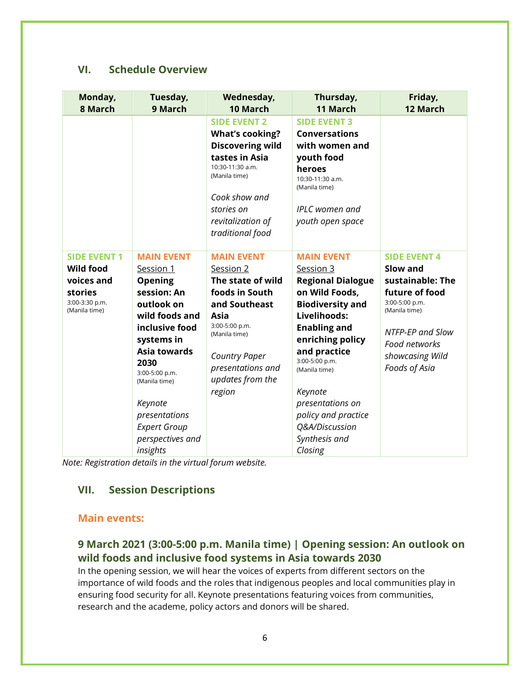### **VI. Schedule Overview**

| Monday,<br>8 March                                                                                  | Tuesday,<br>9 March                                                                                                                                                                                                                                  | Wednesday,<br>10 March                                                                                                                                                                                       | Thursday,<br>11 March                                                                                                                                                                                                                                                                         | Friday,<br>12 March                                                                                                                                                               |
|-----------------------------------------------------------------------------------------------------|------------------------------------------------------------------------------------------------------------------------------------------------------------------------------------------------------------------------------------------------------|--------------------------------------------------------------------------------------------------------------------------------------------------------------------------------------------------------------|-----------------------------------------------------------------------------------------------------------------------------------------------------------------------------------------------------------------------------------------------------------------------------------------------|-----------------------------------------------------------------------------------------------------------------------------------------------------------------------------------|
|                                                                                                     |                                                                                                                                                                                                                                                      | <b>SIDE EVENT 2</b><br><b>What's cooking?</b><br><b>Discovering wild</b><br>tastes in Asia<br>10:30-11:30 a.m.<br>(Manila time)<br>Cook show and<br>stories on<br>revitalization of<br>traditional food      | <b>SIDE EVENT 3</b><br><b>Conversations</b><br>with women and<br>youth food<br>heroes<br>10:30-11:30 a.m.<br>(Manila time)<br><b>IPLC</b> women and<br>youth open space                                                                                                                       |                                                                                                                                                                                   |
| <b>SIDE EVENT 1</b><br><b>Wild food</b><br>voices and<br>stories<br>3:00-3:30 p.m.<br>(Manila time) | <b>MAIN EVENT</b><br>Session 1<br><b>Opening</b><br>session: An<br>outlook on<br>wild foods and<br>inclusive food<br>systems in<br><b>Asia towards</b><br>2030<br>3:00-5:00 p.m.<br>(Manila time)<br>Keynote<br>presentations<br><b>Expert Group</b> | <b>MAIN EVENT</b><br>Session 2<br>The state of wild<br>foods in South<br>and Southeast<br>Asia<br>3:00-5:00 p.m.<br>(Manila time)<br><b>Country Paper</b><br>presentations and<br>updates from the<br>region | <b>MAIN EVENT</b><br>Session 3<br><b>Regional Dialogue</b><br>on Wild Foods,<br><b>Biodiversity and</b><br>Livelihoods:<br><b>Enabling and</b><br>enriching policy<br>and practice<br>3:00-5:00 p.m.<br>(Manila time)<br>Keynote<br>presentations on<br>policy and practice<br>Q&A/Discussion | <b>SIDE EVENT 4</b><br>Slow and<br>sustainable: The<br>future of food<br>3:00-5:00 p.m.<br>(Manila time)<br>NTFP-EP and Slow<br>Food networks<br>showcasing Wild<br>Foods of Asia |
|                                                                                                     | perspectives and<br>insights                                                                                                                                                                                                                         |                                                                                                                                                                                                              | Synthesis and<br>Closing                                                                                                                                                                                                                                                                      |                                                                                                                                                                                   |

*Note: Registration details in the virtual forum website.*

### **VII. Session Descriptions**

#### **Main events:**

# **9 March 2021 (3:00-5:00 p.m. Manila time) | Opening session: An outlook on wild foods and inclusive food systems in Asia towards 2030**

In the opening session, we will hear the voices of experts from different sectors on the importance of wild foods and the roles that indigenous peoples and local communities play in ensuring food security for all. Keynote presentations featuring voices from communities, research and the academe, policy actors and donors will be shared.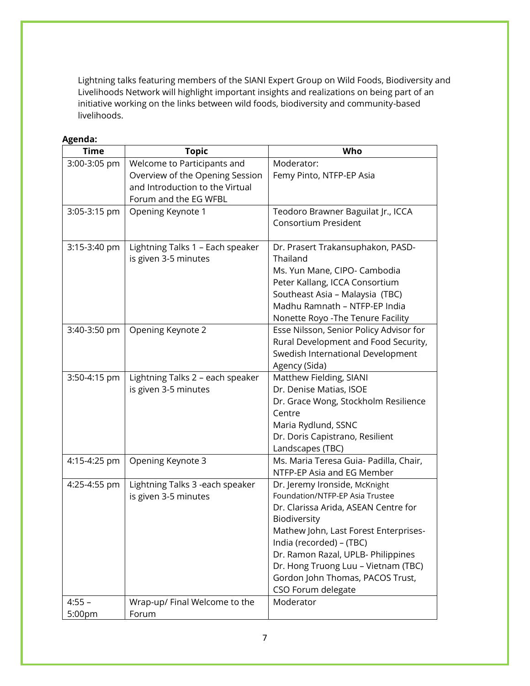Lightning talks featuring members of the SIANI Expert Group on Wild Foods, Biodiversity and Livelihoods Network will highlight important insights and realizations on being part of an initiative working on the links between wild foods, biodiversity and community-based livelihoods.

| <b>Time</b>  | <b>Topic</b>                               | Who                                            |
|--------------|--------------------------------------------|------------------------------------------------|
| 3:00-3:05 pm | Welcome to Participants and                | Moderator:                                     |
|              | Overview of the Opening Session            | Femy Pinto, NTFP-EP Asia                       |
|              | and Introduction to the Virtual            |                                                |
| 3:05-3:15 pm | Forum and the EG WFBL<br>Opening Keynote 1 | Teodoro Brawner Baguilat Jr., ICCA             |
|              |                                            | Consortium President                           |
|              |                                            |                                                |
| 3:15-3:40 pm | Lightning Talks 1 - Each speaker           | Dr. Prasert Trakansuphakon, PASD-              |
|              | is given 3-5 minutes                       | Thailand                                       |
|              |                                            | Ms. Yun Mane, CIPO- Cambodia                   |
|              |                                            | Peter Kallang, ICCA Consortium                 |
|              |                                            | Southeast Asia - Malaysia (TBC)                |
|              |                                            | Madhu Ramnath - NTFP-EP India                  |
|              |                                            | Nonette Royo - The Tenure Facility             |
| 3:40-3:50 pm | Opening Keynote 2                          | Esse Nilsson, Senior Policy Advisor for        |
|              |                                            | Rural Development and Food Security,           |
|              |                                            | Swedish International Development              |
|              |                                            | Agency (Sida)                                  |
| 3:50-4:15 pm | Lightning Talks 2 - each speaker           | Matthew Fielding, SIANI                        |
|              | is given 3-5 minutes                       | Dr. Denise Matias, ISOE                        |
|              |                                            | Dr. Grace Wong, Stockholm Resilience<br>Centre |
|              |                                            | Maria Rydlund, SSNC                            |
|              |                                            | Dr. Doris Capistrano, Resilient                |
|              |                                            | Landscapes (TBC)                               |
| 4:15-4:25 pm | Opening Keynote 3                          | Ms. Maria Teresa Guia- Padilla, Chair,         |
|              |                                            | NTFP-EP Asia and EG Member                     |
| 4:25-4:55 pm | Lightning Talks 3 -each speaker            | Dr. Jeremy Ironside, McKnight                  |
|              | is given 3-5 minutes                       | Foundation/NTFP-EP Asia Trustee                |
|              |                                            | Dr. Clarissa Arida, ASEAN Centre for           |
|              |                                            | Biodiversity                                   |
|              |                                            | Mathew John, Last Forest Enterprises-          |
|              |                                            | India (recorded) - (TBC)                       |
|              |                                            | Dr. Ramon Razal, UPLB- Philippines             |
|              |                                            | Dr. Hong Truong Luu - Vietnam (TBC)            |
|              |                                            | Gordon John Thomas, PACOS Trust,               |
|              |                                            | CSO Forum delegate                             |
| $4:55 -$     | Wrap-up/ Final Welcome to the              | Moderator                                      |
| 5:00pm       | Forum                                      |                                                |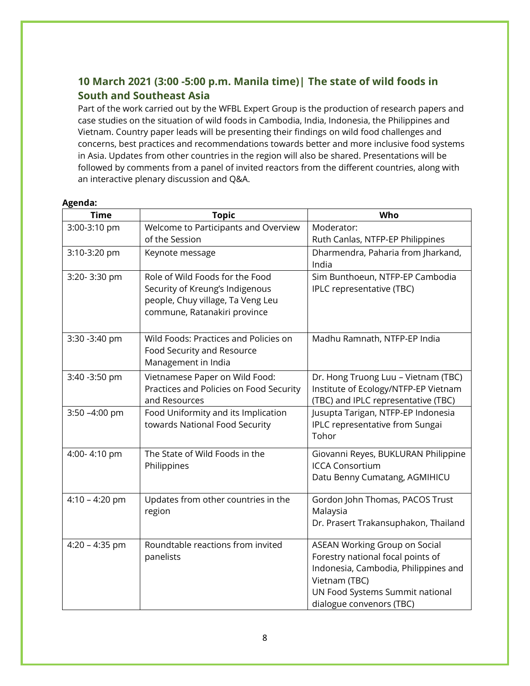# **10 March 2021 (3:00 -5:00 p.m. Manila time)| The state of wild foods in South and Southeast Asia**

Part of the work carried out by the WFBL Expert Group is the production of research papers and case studies on the situation of wild foods in Cambodia, India, Indonesia, the Philippines and Vietnam. Country paper leads will be presenting their findings on wild food challenges and concerns, best practices and recommendations towards better and more inclusive food systems in Asia. Updates from other countries in the region will also be shared. Presentations will be followed by comments from a panel of invited reactors from the different countries, along with an interactive plenary discussion and Q&A.

| <b>Time</b>      | <b>Topic</b>                            | Who                                  |
|------------------|-----------------------------------------|--------------------------------------|
| 3:00-3:10 pm     | Welcome to Participants and Overview    | Moderator:                           |
|                  | of the Session                          | Ruth Canlas, NTFP-EP Philippines     |
| 3:10-3:20 pm     | Keynote message                         | Dharmendra, Paharia from Jharkand,   |
|                  |                                         | India                                |
| 3:20-3:30 pm     | Role of Wild Foods for the Food         | Sim Bunthoeun, NTFP-EP Cambodia      |
|                  | Security of Kreung's Indigenous         | IPLC representative (TBC)            |
|                  | people, Chuy village, Ta Veng Leu       |                                      |
|                  | commune, Ratanakiri province            |                                      |
| 3:30 -3:40 pm    | Wild Foods: Practices and Policies on   | Madhu Ramnath, NTFP-EP India         |
|                  | Food Security and Resource              |                                      |
|                  | Management in India                     |                                      |
| 3:40 - 3:50 pm   | Vietnamese Paper on Wild Food:          | Dr. Hong Truong Luu - Vietnam (TBC)  |
|                  | Practices and Policies on Food Security | Institute of Ecology/NTFP-EP Vietnam |
|                  | and Resources                           | (TBC) and IPLC representative (TBC)  |
| 3:50 -4:00 pm    | Food Uniformity and its Implication     | Jusupta Tarigan, NTFP-EP Indonesia   |
|                  | towards National Food Security          | IPLC representative from Sungai      |
|                  |                                         | Tohor                                |
| 4:00-4:10 pm     | The State of Wild Foods in the          | Giovanni Reyes, BUKLURAN Philippine  |
|                  | Philippines                             | <b>ICCA Consortium</b>               |
|                  |                                         | Datu Benny Cumatang, AGMIHICU        |
| $4:10 - 4:20$ pm | Updates from other countries in the     | Gordon John Thomas, PACOS Trust      |
|                  | region                                  | Malaysia                             |
|                  |                                         | Dr. Prasert Trakansuphakon, Thailand |
| $4:20 - 4:35$ pm | Roundtable reactions from invited       | <b>ASEAN Working Group on Social</b> |
|                  | panelists                               | Forestry national focal points of    |
|                  |                                         | Indonesia, Cambodia, Philippines and |
|                  |                                         | Vietnam (TBC)                        |
|                  |                                         | UN Food Systems Summit national      |
|                  |                                         | dialogue convenors (TBC)             |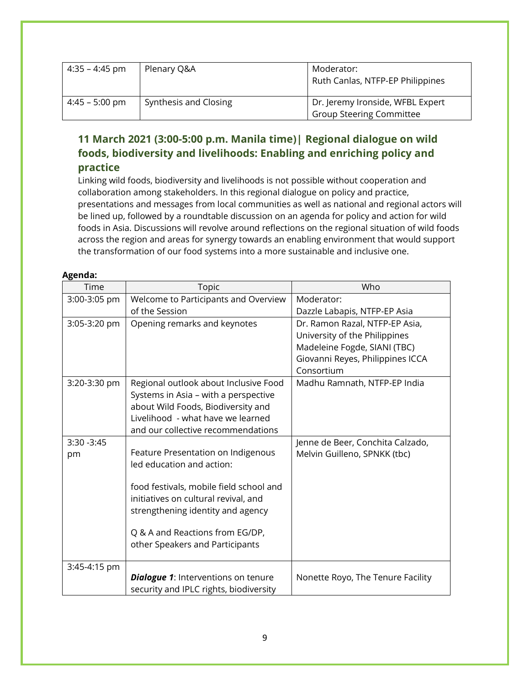| 4:35 – 4:45 pm   | Plenary Q&A           | Moderator:<br>Ruth Canlas, NTFP-EP Philippines                      |
|------------------|-----------------------|---------------------------------------------------------------------|
| $4:45 - 5:00$ pm | Synthesis and Closing | Dr. Jeremy Ironside, WFBL Expert<br><b>Group Steering Committee</b> |

# **11 March 2021 (3:00-5:00 p.m. Manila time)| Regional dialogue on wild foods, biodiversity and livelihoods: Enabling and enriching policy and practice**

Linking wild foods, biodiversity and livelihoods is not possible without cooperation and collaboration among stakeholders. In this regional dialogue on policy and practice, presentations and messages from local communities as well as national and regional actors will be lined up, followed by a roundtable discussion on an agenda for policy and action for wild foods in Asia. Discussions will revolve around reflections on the regional situation of wild foods across the region and areas for synergy towards an enabling environment that would support the transformation of our food systems into a more sustainable and inclusive one.

| Time          | <b>Topic</b>                               | Who                               |
|---------------|--------------------------------------------|-----------------------------------|
| 3:00-3:05 pm  | Welcome to Participants and Overview       | Moderator:                        |
|               | of the Session                             | Dazzle Labapis, NTFP-EP Asia      |
| 3:05-3:20 pm  | Opening remarks and keynotes               | Dr. Ramon Razal, NTFP-EP Asia,    |
|               |                                            | University of the Philippines     |
|               |                                            | Madeleine Fogde, SIANI (TBC)      |
|               |                                            | Giovanni Reyes, Philippines ICCA  |
|               |                                            | Consortium                        |
| 3:20-3:30 pm  | Regional outlook about Inclusive Food      | Madhu Ramnath, NTFP-EP India      |
|               | Systems in Asia - with a perspective       |                                   |
|               | about Wild Foods, Biodiversity and         |                                   |
|               | Livelihood - what have we learned          |                                   |
|               | and our collective recommendations         |                                   |
| $3:30 - 3:45$ |                                            | Jenne de Beer, Conchita Calzado,  |
| pm            | Feature Presentation on Indigenous         | Melvin Guilleno, SPNKK (tbc)      |
|               | led education and action:                  |                                   |
|               | food festivals, mobile field school and    |                                   |
|               | initiatives on cultural revival, and       |                                   |
|               | strengthening identity and agency          |                                   |
|               |                                            |                                   |
|               | Q & A and Reactions from EG/DP,            |                                   |
|               | other Speakers and Participants            |                                   |
|               |                                            |                                   |
| 3:45-4:15 pm  |                                            |                                   |
|               | <b>Dialogue 1:</b> Interventions on tenure | Nonette Royo, The Tenure Facility |
|               | security and IPLC rights, biodiversity     |                                   |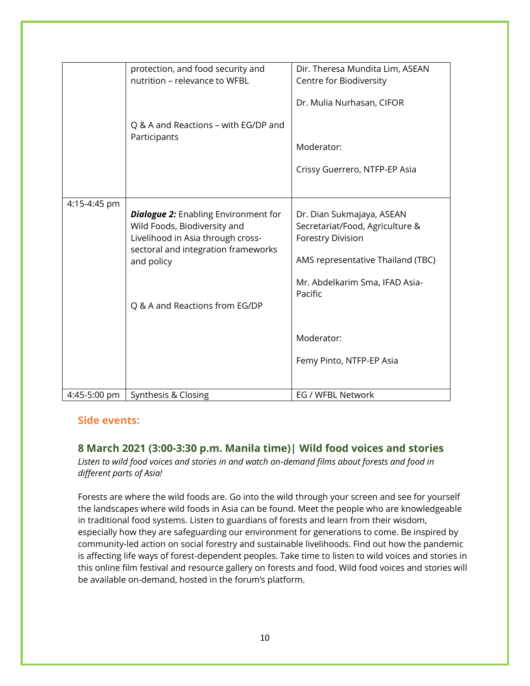|              | protection, and food security and           | Dir. Theresa Mundita Lim, ASEAN   |
|--------------|---------------------------------------------|-----------------------------------|
|              | nutrition - relevance to WFBL               | Centre for Biodiversity           |
|              |                                             |                                   |
|              |                                             | Dr. Mulia Nurhasan, CIFOR         |
|              |                                             |                                   |
|              | Q & A and Reactions - with EG/DP and        |                                   |
|              | Participants                                |                                   |
|              |                                             | Moderator:                        |
|              |                                             |                                   |
|              |                                             | Crissy Guerrero, NTFP-EP Asia     |
|              |                                             |                                   |
|              |                                             |                                   |
| 4:15-4:45 pm |                                             |                                   |
|              | <b>Dialogue 2:</b> Enabling Environment for | Dr. Dian Sukmajaya, ASEAN         |
|              | Wild Foods, Biodiversity and                | Secretariat/Food, Agriculture &   |
|              | Livelihood in Asia through cross-           | <b>Forestry Division</b>          |
|              | sectoral and integration frameworks         |                                   |
|              | and policy                                  | AMS representative Thailand (TBC) |
|              |                                             |                                   |
|              |                                             | Mr. Abdelkarim Sma, IFAD Asia-    |
|              |                                             | Pacific                           |
|              | Q & A and Reactions from EG/DP              |                                   |
|              |                                             |                                   |
|              |                                             |                                   |
|              |                                             | Moderator:                        |
|              |                                             |                                   |
|              |                                             | Femy Pinto, NTFP-EP Asia          |
|              |                                             |                                   |
|              |                                             |                                   |
| 4:45-5:00 pm | Synthesis & Closing                         | EG / WFBL Network                 |
|              |                                             |                                   |

### **Side events:**

### **8 March 2021 (3:00-3:30 p.m. Manila time)| Wild food voices and stories**

*Listen to wild food voices and stories in and watch on-demand films about forests and food in different parts of Asia!* 

Forests are where the wild foods are. Go into the wild through your screen and see for yourself the landscapes where wild foods in Asia can be found. Meet the people who are knowledgeable in traditional food systems. Listen to guardians of forests and learn from their wisdom, especially how they are safeguarding our environment for generations to come. Be inspired by community-led action on social forestry and sustainable livelihoods. Find out how the pandemic is affecting life ways of forest-dependent peoples. Take time to listen to wild voices and stories in this online film festival and resource gallery on forests and food. Wild food voices and stories will be available on-demand, hosted in the forum's platform.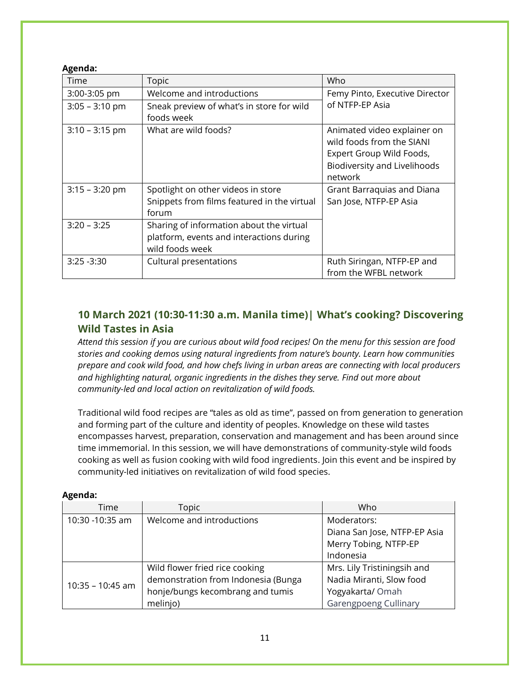#### **Agenda:**

| Time             | Topic                                                                                                   | Who                                                                                                                                    |
|------------------|---------------------------------------------------------------------------------------------------------|----------------------------------------------------------------------------------------------------------------------------------------|
| 3:00-3:05 pm     | Welcome and introductions                                                                               | Femy Pinto, Executive Director                                                                                                         |
| $3:05 - 3:10$ pm | Sneak preview of what's in store for wild<br>foods week                                                 | of NTFP-EP Asia                                                                                                                        |
| $3:10 - 3:15$ pm | What are wild foods?                                                                                    | Animated video explainer on<br>wild foods from the SIANI<br>Expert Group Wild Foods,<br><b>Biodiversity and Livelihoods</b><br>network |
| $3:15 - 3:20$ pm | Spotlight on other videos in store<br>Snippets from films featured in the virtual<br>forum              | Grant Barraquias and Diana<br>San Jose, NTFP-EP Asia                                                                                   |
| $3:20 - 3:25$    | Sharing of information about the virtual<br>platform, events and interactions during<br>wild foods week |                                                                                                                                        |
| $3:25 - 3:30$    | Cultural presentations                                                                                  | Ruth Siringan, NTFP-EP and<br>from the WFBL network                                                                                    |

## **10 March 2021 (10:30-11:30 a.m. Manila time)| What's cooking? Discovering Wild Tastes in Asia**

*Attend this session if you are curious about wild food recipes! On the menu for this session are food stories and cooking demos using natural ingredients from nature's bounty. Learn how communities prepare and cook wild food, and how chefs living in urban areas are connecting with local producers and highlighting natural, organic ingredients in the dishes they serve. Find out more about community-led and local action on revitalization of wild foods.*

Traditional wild food recipes are "tales as old as time", passed on from generation to generation and forming part of the culture and identity of peoples. Knowledge on these wild tastes encompasses harvest, preparation, conservation and management and has been around since time immemorial. In this session, we will have demonstrations of community-style wild foods cooking as well as fusion cooking with wild food ingredients. Join this event and be inspired by community-led initiatives on revitalization of wild food species.

| Time               | Topic                               | Who                          |
|--------------------|-------------------------------------|------------------------------|
| 10:30 -10:35 am    | Welcome and introductions           | Moderators:                  |
|                    |                                     | Diana San Jose, NTFP-EP Asia |
|                    |                                     | Merry Tobing, NTFP-EP        |
|                    |                                     | Indonesia                    |
|                    | Wild flower fried rice cooking      | Mrs. Lily Tristiningsih and  |
| $10:35 - 10:45$ am | demonstration from Indonesia (Bunga | Nadia Miranti, Slow food     |
|                    | honje/bungs kecombrang and tumis    | Yogyakarta/ Omah             |
|                    | melinjo)                            | Garengpoeng Cullinary        |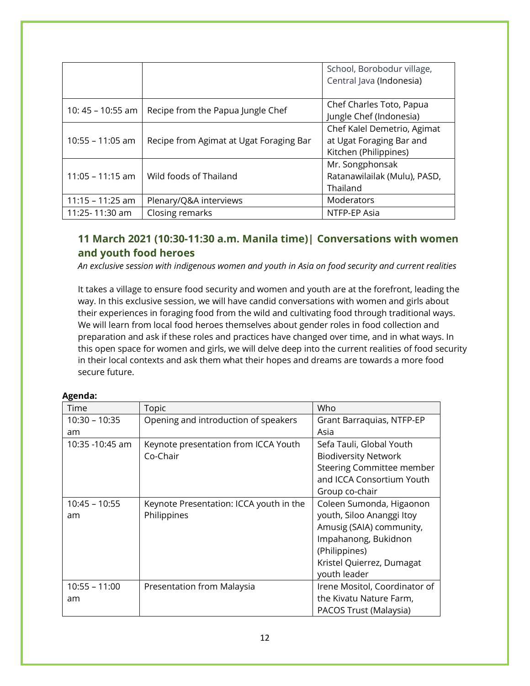|                    |                                         | School, Borobodur village,   |
|--------------------|-----------------------------------------|------------------------------|
|                    |                                         | Central Java (Indonesia)     |
|                    |                                         |                              |
| 10: 45 – 10:55 am  | Recipe from the Papua Jungle Chef       | Chef Charles Toto, Papua     |
|                    |                                         | Jungle Chef (Indonesia)      |
|                    |                                         | Chef Kalel Demetrio, Agimat  |
| $10:55 - 11:05$ am | Recipe from Agimat at Ugat Foraging Bar | at Ugat Foraging Bar and     |
|                    |                                         | Kitchen (Philippines)        |
|                    |                                         | Mr. Songphonsak              |
| $11:05 - 11:15$ am | Wild foods of Thailand                  | Ratanawilailak (Mulu), PASD, |
|                    |                                         | Thailand                     |
| $11:15 - 11:25$ am | Plenary/Q&A interviews                  | Moderators                   |
| 11:25-11:30 am     | Closing remarks                         | NTFP-EP Asia                 |

## **11 March 2021 (10:30-11:30 a.m. Manila time)| Conversations with women and youth food heroes**

*An exclusive session with indigenous women and youth in Asia on food security and current realities*

It takes a village to ensure food security and women and youth are at the forefront, leading the way. In this exclusive session, we will have candid conversations with women and girls about their experiences in foraging food from the wild and cultivating food through traditional ways. We will learn from local food heroes themselves about gender roles in food collection and preparation and ask if these roles and practices have changed over time, and in what ways. In this open space for women and girls, we will delve deep into the current realities of food security in their local contexts and ask them what their hopes and dreams are towards a more food secure future.

| Time            | Topic                                   | Who                              |
|-----------------|-----------------------------------------|----------------------------------|
| $10:30 - 10:35$ | Opening and introduction of speakers    | Grant Barraquias, NTFP-EP        |
| am              |                                         | Asia                             |
| 10:35 -10:45 am | Keynote presentation from ICCA Youth    | Sefa Tauli, Global Youth         |
|                 | Co-Chair                                | <b>Biodiversity Network</b>      |
|                 |                                         | <b>Steering Committee member</b> |
|                 |                                         | and ICCA Consortium Youth        |
|                 |                                         | Group co-chair                   |
| $10:45 - 10:55$ | Keynote Presentation: ICCA youth in the | Coleen Sumonda, Higaonon         |
| am              | Philippines                             | youth, Siloo Ananggi Itoy        |
|                 |                                         | Amusig (SAIA) community,         |
|                 |                                         | Impahanong, Bukidnon             |
|                 |                                         | (Philippines)                    |
|                 |                                         | Kristel Quierrez, Dumagat        |
|                 |                                         | youth leader                     |
| $10:55 - 11:00$ | Presentation from Malaysia              | Irene Mositol, Coordinator of    |
| am              |                                         | the Kivatu Nature Farm,          |
|                 |                                         | PACOS Trust (Malaysia)           |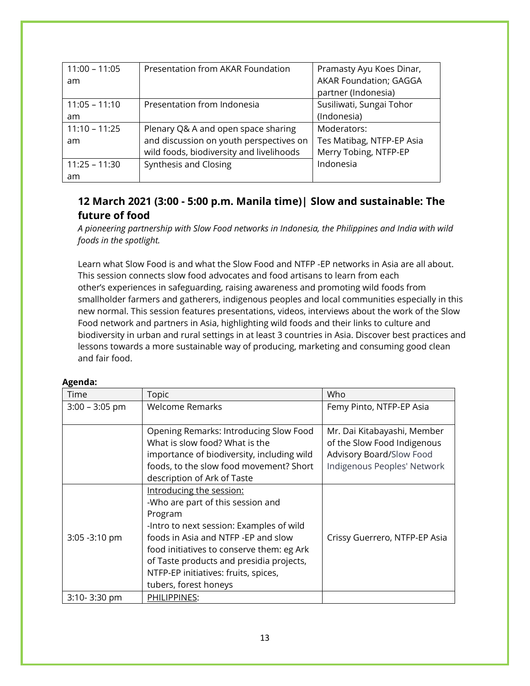| $11:00 - 11:05$ | Presentation from AKAR Foundation        | Pramasty Ayu Koes Dinar,      |
|-----------------|------------------------------------------|-------------------------------|
| am              |                                          | <b>AKAR Foundation; GAGGA</b> |
|                 |                                          | partner (Indonesia)           |
| $11:05 - 11:10$ | Presentation from Indonesia              | Susiliwati, Sungai Tohor      |
| am              |                                          | (Indonesia)                   |
| $11:10 - 11:25$ | Plenary Q& A and open space sharing      | Moderators:                   |
| am              | and discussion on youth perspectives on  | Tes Matibag, NTFP-EP Asia     |
|                 | wild foods, biodiversity and livelihoods | Merry Tobing, NTFP-EP         |
| $11:25 - 11:30$ | Synthesis and Closing                    | Indonesia                     |
| am              |                                          |                               |

## **12 March 2021 (3:00 - 5:00 p.m. Manila time)| Slow and sustainable: The future of food**

*A pioneering partnership with Slow Food networks in Indonesia, the Philippines and India with wild foods in the spotlight.*

Learn what Slow Food is and what the Slow Food and NTFP -EP networks in Asia are all about. This session connects slow food advocates and food artisans to learn from each other's experiences in safeguarding, raising awareness and promoting wild foods from smallholder farmers and gatherers, indigenous peoples and local communities especially in this new normal. This session features presentations, videos, interviews about the work of the Slow Food network and partners in Asia, highlighting wild foods and their links to culture and biodiversity in urban and rural settings in at least 3 countries in Asia. Discover best practices and lessons towards a more sustainable way of producing, marketing and consuming good clean and fair food.

| Time             | Topic                                      | Who                           |
|------------------|--------------------------------------------|-------------------------------|
| $3:00 - 3:05$ pm | <b>Welcome Remarks</b>                     | Femy Pinto, NTFP-EP Asia      |
|                  |                                            |                               |
|                  | Opening Remarks: Introducing Slow Food     | Mr. Dai Kitabayashi, Member   |
|                  | What is slow food? What is the             | of the Slow Food Indigenous   |
|                  | importance of biodiversity, including wild | Advisory Board/Slow Food      |
|                  | foods, to the slow food movement? Short    | Indigenous Peoples' Network   |
|                  | description of Ark of Taste                |                               |
|                  | Introducing the session:                   |                               |
|                  | -Who are part of this session and          |                               |
|                  | Program                                    |                               |
|                  | -Intro to next session: Examples of wild   |                               |
| 3:05 - 3:10 pm   | foods in Asia and NTFP -EP and slow        | Crissy Guerrero, NTFP-EP Asia |
|                  | food initiatives to conserve them: eg Ark  |                               |
|                  | of Taste products and presidia projects,   |                               |
|                  | NTFP-EP initiatives: fruits, spices,       |                               |
|                  | tubers, forest honeys                      |                               |
| 3:10-3:30 pm     | PHILIPPINES:                               |                               |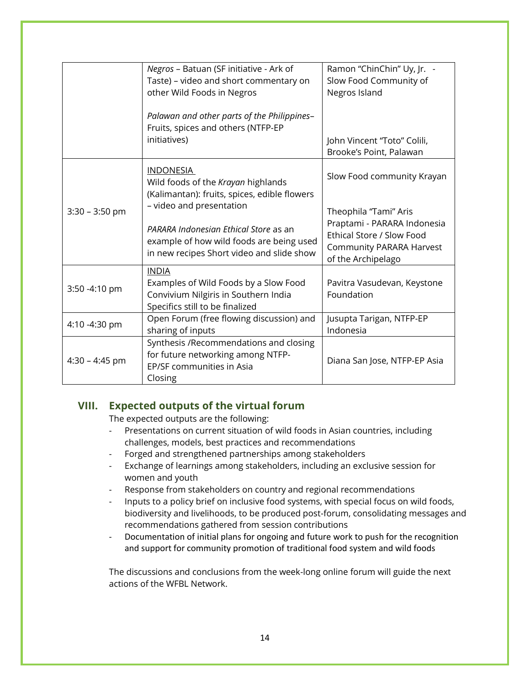|                  | Negros - Batuan (SF initiative - Ark of<br>Taste) - video and short commentary on                                              | Ramon "ChinChin" Uy, Jr. -<br>Slow Food Community of                                                              |
|------------------|--------------------------------------------------------------------------------------------------------------------------------|-------------------------------------------------------------------------------------------------------------------|
|                  | other Wild Foods in Negros                                                                                                     | Negros Island                                                                                                     |
|                  | Palawan and other parts of the Philippines-<br>Fruits, spices and others (NTFP-EP<br>initiatives)                              | John Vincent "Toto" Colili,<br>Brooke's Point, Palawan                                                            |
| $3:30 - 3:50$ pm | <b>INDONESIA</b><br>Wild foods of the Krayan highlands<br>(Kalimantan): fruits, spices, edible flowers                         | Slow Food community Krayan                                                                                        |
|                  | - video and presentation                                                                                                       | Theophila "Tami" Aris                                                                                             |
|                  | PARARA Indonesian Ethical Store as an<br>example of how wild foods are being used<br>in new recipes Short video and slide show | Praptami - PARARA Indonesia<br>Ethical Store / Slow Food<br><b>Community PARARA Harvest</b><br>of the Archipelago |
|                  | <b>INDIA</b>                                                                                                                   |                                                                                                                   |
| 3:50 -4:10 pm    | Examples of Wild Foods by a Slow Food<br>Convivium Nilgiris in Southern India<br>Specifics still to be finalized               | Pavitra Vasudevan, Keystone<br>Foundation                                                                         |
| 4:10 -4:30 pm    | Open Forum (free flowing discussion) and<br>sharing of inputs                                                                  | Jusupta Tarigan, NTFP-EP<br>Indonesia                                                                             |
| $4:30 - 4:45$ pm | Synthesis /Recommendations and closing<br>for future networking among NTFP-<br>EP/SF communities in Asia<br>Closing            | Diana San Jose, NTFP-EP Asia                                                                                      |

### **VIII. Expected outputs of the virtual forum**

The expected outputs are the following:

- Presentations on current situation of wild foods in Asian countries, including challenges, models, best practices and recommendations
- Forged and strengthened partnerships among stakeholders
- Exchange of learnings among stakeholders, including an exclusive session for women and youth
- Response from stakeholders on country and regional recommendations
- Inputs to a policy brief on inclusive food systems, with special focus on wild foods, biodiversity and livelihoods, to be produced post-forum, consolidating messages and recommendations gathered from session contributions
- Documentation of initial plans for ongoing and future work to push for the recognition and support for community promotion of traditional food system and wild foods

The discussions and conclusions from the week-long online forum will guide the next actions of the WFBL Network.